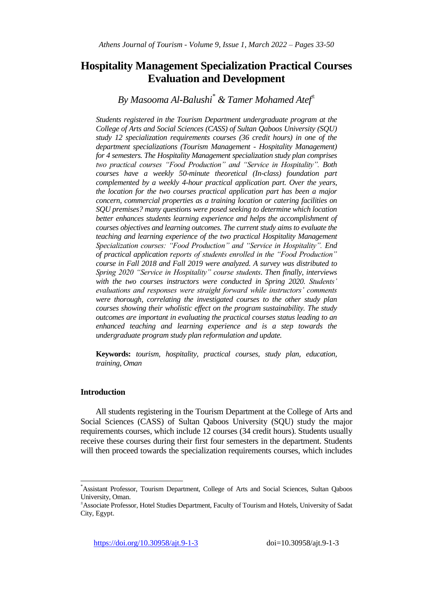# **Hospitality Management Specialization Practical Courses Evaluation and Development**

# *By Masooma Al-Balushi\* & Tamer Mohamed Atef<sup>±</sup>*

*Students registered in the Tourism Department undergraduate program at the College of Arts and Social Sciences (CASS) of Sultan Qaboos University (SQU) study 12 specialization requirements courses (36 credit hours) in one of the department specializations (Tourism Management - Hospitality Management) for 4 semesters. The Hospitality Management specialization study plan comprises two practical courses "Food Production" and "Service in Hospitality". Both courses have a weekly 50-minute theoretical (In-class) foundation part complemented by a weekly 4-hour practical application part. Over the years, the location for the two courses practical application part has been a major concern, commercial properties as a training location or catering facilities on SQU premises? many questions were posed seeking to determine which location better enhances students learning experience and helps the accomplishment of courses objectives and learning outcomes. The current study aims to evaluate the teaching and learning experience of the two practical Hospitality Management Specialization courses: "Food Production" and "Service in Hospitality". End of practical application reports of students enrolled in the "Food Production" course in Fall 2018 and Fall 2019 were analyzed. A survey was distributed to Spring 2020 "Service in Hospitality" course students. Then finally, interviews with the two courses instructors were conducted in Spring 2020. Students' evaluations and responses were straight forward while instructors' comments were thorough, correlating the investigated courses to the other study plan courses showing their wholistic effect on the program sustainability. The study outcomes are important in evaluating the practical courses status leading to an enhanced teaching and learning experience and is a step towards the undergraduate program study plan reformulation and update.*

**Keywords:** *tourism, hospitality, practical courses, study plan, education, training, Oman*

# **Introduction**

 $\overline{a}$ 

All students registering in the Tourism Department at the College of Arts and Social Sciences (CASS) of Sultan Qaboos University (SQU) study the major requirements courses, which include 12 courses (34 credit hours). Students usually receive these courses during their first four semesters in the department. Students will then proceed towards the specialization requirements courses, which includes

<sup>\*</sup>Assistant Professor, Tourism Department, College of Arts and Social Sciences, Sultan Qaboos University, Oman.

<sup>±</sup>Associate Professor, Hotel Studies Department, Faculty of Tourism and Hotels, University of Sadat City, Egypt.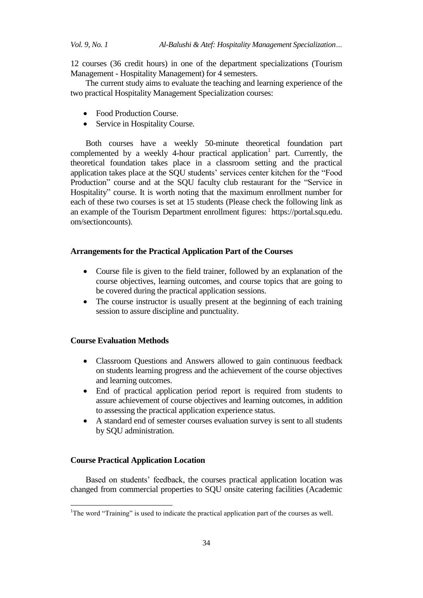12 courses (36 credit hours) in one of the department specializations (Tourism Management - Hospitality Management) for 4 semesters.

The current study aims to evaluate the teaching and learning experience of the two practical Hospitality Management Specialization courses:

- Food Production Course.
- Service in Hospitality Course.

Both courses have a weekly 50-minute theoretical foundation part complemented by a weekly 4-hour practical application<sup>1</sup> part. Currently, the theoretical foundation takes place in a classroom setting and the practical application takes place at the SQU students' services center kitchen for the "Food Production" course and at the SQU faculty club restaurant for the "Service in Hospitality" course. It is worth noting that the maximum enrollment number for each of these two courses is set at 15 students (Please check the following link as an example of the Tourism Department enrollment figures: https://portal.squ.edu. om/sectioncounts).

#### **Arrangements for the Practical Application Part of the Courses**

- Course file is given to the field trainer, followed by an explanation of the course objectives, learning outcomes, and course topics that are going to be covered during the practical application sessions.
- The course instructor is usually present at the beginning of each training session to assure discipline and punctuality.

## **Course Evaluation Methods**

- Classroom Questions and Answers allowed to gain continuous feedback on students learning progress and the achievement of the course objectives and learning outcomes.
- End of practical application period report is required from students to assure achievement of course objectives and learning outcomes, in addition to assessing the practical application experience status.
- A standard end of semester courses evaluation survey is sent to all students by SQU administration.

#### **Course Practical Application Location**

1

Based on students' feedback, the courses practical application location was changed from commercial properties to SQU onsite catering facilities (Academic

<sup>&</sup>lt;sup>1</sup>The word "Training" is used to indicate the practical application part of the courses as well.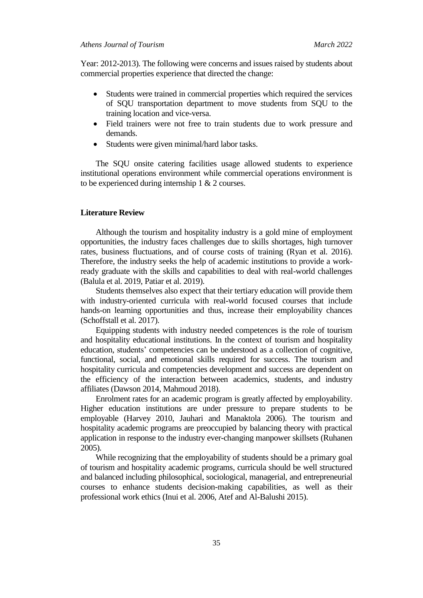Year: 2012-2013). The following were concerns and issues raised by students about commercial properties experience that directed the change:

- Students were trained in commercial properties which required the services of SQU transportation department to move students from SQU to the training location and vice-versa.
- Field trainers were not free to train students due to work pressure and demands.
- Students were given minimal/hard labor tasks.

The SQU onsite catering facilities usage allowed students to experience institutional operations environment while commercial operations environment is to be experienced during internship 1 & 2 courses.

# **Literature Review**

Although the tourism and hospitality industry is a gold mine of employment opportunities, the industry faces challenges due to skills shortages, high turnover rates, business fluctuations, and of course costs of training (Ryan et al. 2016). Therefore, the industry seeks the help of academic institutions to provide a workready graduate with the skills and capabilities to deal with real-world challenges (Balula et al. 2019, Patiar et al. 2019).

Students themselves also expect that their tertiary education will provide them with industry-oriented curricula with real-world focused courses that include hands-on learning opportunities and thus, increase their employability chances (Schoffstall et al. 2017).

Equipping students with industry needed competences is the role of tourism and hospitality educational institutions. In the context of tourism and hospitality education, students' competencies can be understood as a collection of cognitive, functional, social, and emotional skills required for success. The tourism and hospitality curricula and competencies development and success are dependent on the efficiency of the interaction between academics, students, and industry affiliates (Dawson 2014, Mahmoud 2018).

Enrolment rates for an academic program is greatly affected by employability. Higher education institutions are under pressure to prepare students to be employable (Harvey 2010, Jauhari and Manaktola 2006). The tourism and hospitality academic programs are preoccupied by balancing theory with practical application in response to the industry ever-changing manpower skillsets (Ruhanen 2005).

While recognizing that the employability of students should be a primary goal of tourism and hospitality academic programs, curricula should be well structured and balanced including philosophical, sociological, managerial, and entrepreneurial courses to enhance students decision-making capabilities, as well as their professional work ethics (Inui et al. 2006, Atef and Al-Balushi 2015).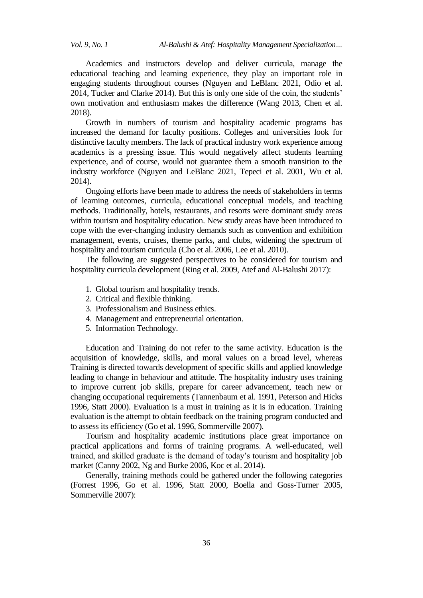Academics and instructors develop and deliver curricula, manage the educational teaching and learning experience, they play an important role in engaging students throughout courses (Nguyen and LeBlanc 2021, Odio et al. 2014, Tucker and Clarke 2014). But this is only one side of the coin, the students' own motivation and enthusiasm makes the difference (Wang 2013, Chen et al. 2018).

Growth in numbers of tourism and hospitality academic programs has increased the demand for faculty positions. Colleges and universities look for distinctive faculty members. The lack of practical industry work experience among academics is a pressing issue. This would negatively affect students learning experience, and of course, would not guarantee them a smooth transition to the industry workforce (Nguyen and LeBlanc 2021, Tepeci et al. 2001, Wu et al. 2014).

Ongoing efforts have been made to address the needs of stakeholders in terms of learning outcomes, curricula, educational conceptual models, and teaching methods. Traditionally, hotels, restaurants, and resorts were dominant study areas within tourism and hospitality education. New study areas have been introduced to cope with the ever-changing industry demands such as convention and exhibition management, events, cruises, theme parks, and clubs, widening the spectrum of hospitality and tourism curricula (Cho et al. 2006, Lee et al. 2010).

The following are suggested perspectives to be considered for tourism and hospitality curricula development (Ring et al. 2009, Atef and Al-Balushi 2017):

- 1. Global tourism and hospitality trends.
- 2. Critical and flexible thinking.
- 3. Professionalism and Business ethics.
- 4. Management and entrepreneurial orientation.
- 5. Information Technology.

Education and Training do not refer to the same activity. Education is the acquisition of knowledge, skills, and moral values on a broad level, whereas Training is directed towards development of specific skills and applied knowledge leading to change in behaviour and attitude. The hospitality industry uses training to improve current job skills, prepare for career advancement, teach new or changing occupational requirements (Tannenbaum et al. 1991, Peterson and Hicks 1996, Statt 2000). Evaluation is a must in training as it is in education. Training evaluation is the attempt to obtain feedback on the training program conducted and to assess its efficiency (Go et al. 1996, Sommerville 2007).

Tourism and hospitality academic institutions place great importance on practical applications and forms of training programs. A well-educated, well trained, and skilled graduate is the demand of today's tourism and hospitality job market (Canny 2002, Ng and Burke 2006, Koc et al. 2014).

Generally, training methods could be gathered under the following categories (Forrest 1996, Go et al. 1996, Statt 2000, Boella and Goss-Turner 2005, Sommerville 2007):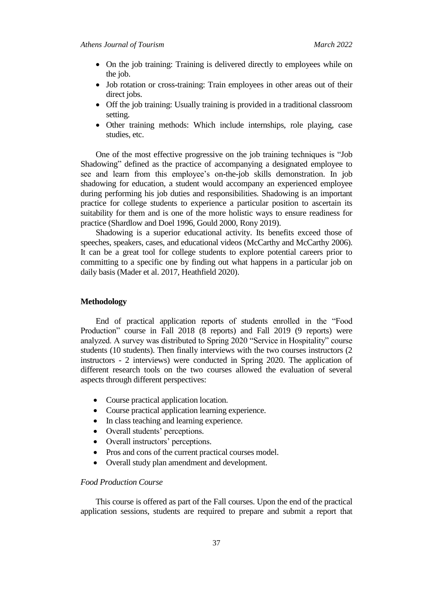- On the job training: Training is delivered directly to employees while on the job.
- Job rotation or cross-training: Train employees in other areas out of their direct jobs.
- Off the job training: Usually training is provided in a traditional classroom setting.
- Other training methods: Which include internships, role playing, case studies, etc.

One of the most effective progressive on the job training techniques is "Job Shadowing" defined as the practice of accompanying a designated employee to see and learn from this employee's on-the-job skills demonstration. In job shadowing for education, a student would accompany an experienced employee during performing his job duties and responsibilities. Shadowing is an important practice for college students to experience a particular position to ascertain its suitability for them and is one of the more holistic ways to ensure readiness for practice (Shardlow and Doel 1996, Gould 2000, Rony 2019).

Shadowing is a superior educational activity. Its benefits exceed those of speeches, speakers, cases, and educational videos (McCarthy and McCarthy 2006). It can be a great tool for college students to explore potential careers prior to committing to a specific one by finding out what happens in a particular job on daily basis (Mader et al. 2017, Heathfield 2020).

## **Methodology**

End of practical application reports of students enrolled in the "Food Production" course in Fall 2018 (8 reports) and Fall 2019 (9 reports) were analyzed. A survey was distributed to Spring 2020 "Service in Hospitality" course students (10 students). Then finally interviews with the two courses instructors (2 instructors - 2 interviews) were conducted in Spring 2020. The application of different research tools on the two courses allowed the evaluation of several aspects through different perspectives:

- Course practical application location.
- Course practical application learning experience.
- In class teaching and learning experience.
- Overall students' perceptions.
- Overall instructors' perceptions.
- Pros and cons of the current practical courses model.
- Overall study plan amendment and development.

# *Food Production Course*

This course is offered as part of the Fall courses. Upon the end of the practical application sessions, students are required to prepare and submit a report that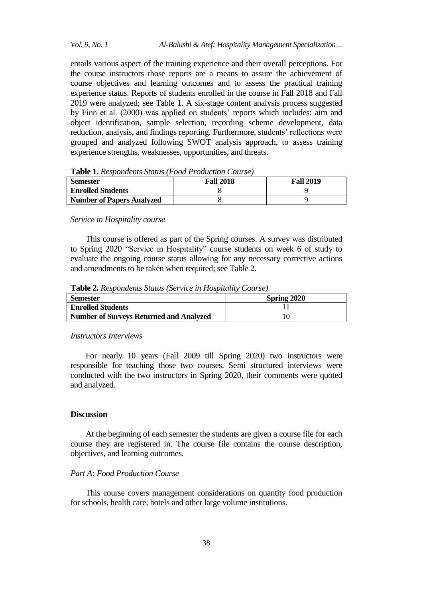entails various aspect of the training experience and their overall perceptions. For the course instructors those reports are a means to assure the achievement of course objectives and learning outcomes and to assess the practical training experience status. Reports of students enrolled in the course in Fall 2018 and Fall 2019 were analyzed; see Table 1. A six-stage content analysis process suggested by Finn et al. (2000) was applied on students' reports which includes: aim and object identification, sample selection, recording scheme development, data reduction, analysis, and findings reporting. Furthermore, students' reflections were grouped and analyzed following SWOT analysis approach, to assess training experience strengths, weaknesses, opportunities, and threats.

| <b>Semester</b>                  | <b>Fall 2018</b> | <b>Fall 2019</b> |
|----------------------------------|------------------|------------------|
| <b>Enrolled Students</b>         |                  |                  |
| <b>Number of Papers Analyzed</b> |                  |                  |

**Table 1.** *Respondents Status (Food Production Course)*

#### *Service in Hospitality course*

This course is offered as part of the Spring courses. A survey was distributed to Spring 2020 "Service in Hospitality" course students on week 6 of study to evaluate the ongoing course status allowing for any necessary corrective actions and amendments to be taken when required; see Table 2.

**Table 2.** *Respondents Status (Service in Hospitality Course)*

| <b>Semester</b>                                | Spring 2020 |
|------------------------------------------------|-------------|
| <b>Enrolled Students</b>                       |             |
| <b>Number of Surveys Returned and Analyzed</b> |             |

## *Instructors Interviews*

For nearly 10 years (Fall 2009 till Spring 2020) two instructors were responsible for teaching those two courses. Semi structured interviews were conducted with the two instructors in Spring 2020, their comments were quoted and analyzed.

## **Discussion**

At the beginning of each semester the students are given a course file for each course they are registered in. The course file contains the course description, objectives, and learning outcomes.

## *Part A: Food Production Course*

This course covers management considerations on quantity food production for schools, health care, hotels and other large volume institutions.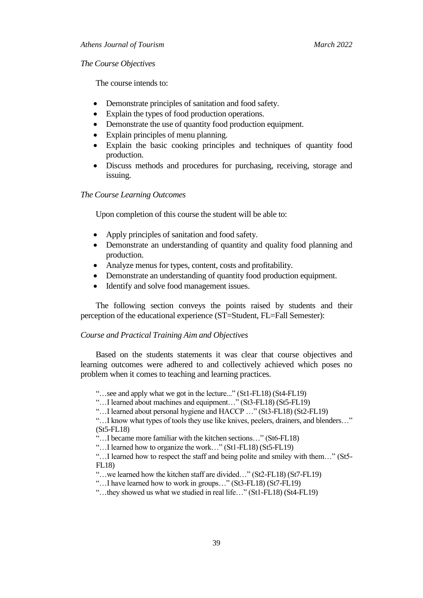## *The Course Objectives*

The course intends to:

- Demonstrate principles of sanitation and food safety.
- Explain the types of food production operations.
- Demonstrate the use of quantity food production equipment.
- Explain principles of menu planning.
- Explain the basic cooking principles and techniques of quantity food production.
- Discuss methods and procedures for purchasing, receiving, storage and issuing.

### *The Course Learning Outcomes*

Upon completion of this course the student will be able to:

- Apply principles of sanitation and food safety.
- Demonstrate an understanding of quantity and quality food planning and production.
- Analyze menus for types, content, costs and profitability.
- Demonstrate an understanding of quantity food production equipment.
- Identify and solve food management issues.

The following section conveys the points raised by students and their perception of the educational experience (ST=Student, FL=Fall Semester):

#### *Course and Practical Training Aim and Objectives*

Based on the students statements it was clear that course objectives and learning outcomes were adhered to and collectively achieved which poses no problem when it comes to teaching and learning practices.

―…see and apply what we got in the lecture...‖ (St1-FL18) (St4-FL19)

―…I learned about machines and equipment…‖ (St3-FL18) (St5-FL19)

―…I learned about personal hygiene and HACCP …‖ (St3-FL18) (St2-FL19)

"...I know what types of tools they use like knives, peelers, drainers, and blenders..." (St5-FL18)

"...I became more familiar with the kitchen sections..." (St6-FL18)

―…I learned how to organize the work…‖ (St1-FL18) (St5-FL19)

"...I learned how to respect the staff and being polite and smiley with them..." (St5-FL18)

―…we learned how the kitchen staff are divided…‖ (St2-FL18) (St7-FL19)

"...I have learned how to work in groups..." (St3-FL18) (St7-FL19)

―…they showed us what we studied in real life…‖ (St1-FL18) (St4-FL19)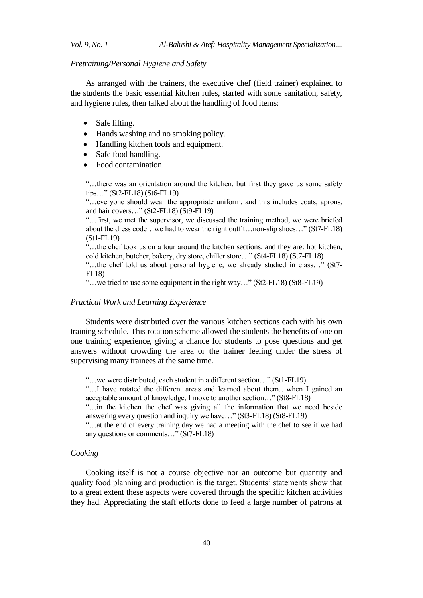## *Pretraining/Personal Hygiene and Safety*

As arranged with the trainers, the executive chef (field trainer) explained to the students the basic essential kitchen rules, started with some sanitation, safety, and hygiene rules, then talked about the handling of food items:

- Safe lifting.
- Hands washing and no smoking policy.
- Handling kitchen tools and equipment.
- Safe food handling.
- Food contamination.

―…there was an orientation around the kitchen, but first they gave us some safety  $tips...$ " (St2-FL18) (St6-FL19)

―…everyone should wear the appropriate uniform, and this includes coats, aprons, and hair covers..." (St2-FL18) (St9-FL19)

―…first, we met the supervisor, we discussed the training method, we were briefed about the dress code...we had to wear the right outfit...non-slip shoes..." (St7-FL18) (St1-FL19)

―…the chef took us on a tour around the kitchen sections, and they are: hot kitchen, cold kitchen, butcher, bakery, dry store, chiller store…" (St4-FL18) (St7-FL18)

"...the chef told us about personal hygiene, we already studied in class..." (St7-FL18)

―…we tried to use some equipment in the right way…‖ (St2-FL18) (St8-FL19)

## *Practical Work and Learning Experience*

Students were distributed over the various kitchen sections each with his own training schedule. This rotation scheme allowed the students the benefits of one on one training experience, giving a chance for students to pose questions and get answers without crowding the area or the trainer feeling under the stress of supervising many trainees at the same time.

―…we were distributed, each student in a different section…‖ (St1-FL19)

―…I have rotated the different areas and learned about them…when I gained an acceptable amount of knowledge, I move to another section..." (St8-FL18)

―…in the kitchen the chef was giving all the information that we need beside answering every question and inquiry we have..."  $(St3-FL18)$   $(St8-FL19)$ 

―…at the end of every training day we had a meeting with the chef to see if we had any questions or comments..." (St7-FL18)

## *Cooking*

Cooking itself is not a course objective nor an outcome but quantity and quality food planning and production is the target. Students' statements show that to a great extent these aspects were covered through the specific kitchen activities they had. Appreciating the staff efforts done to feed a large number of patrons at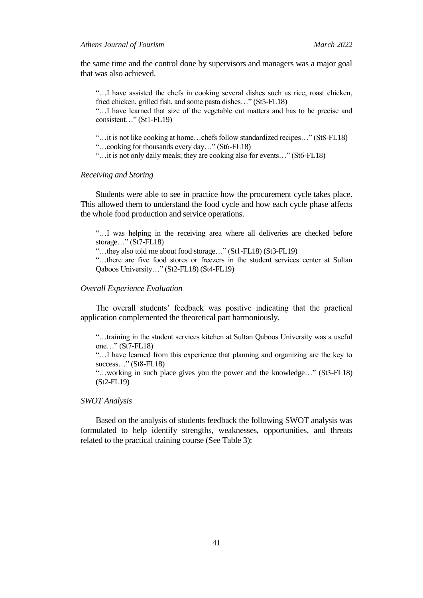the same time and the control done by supervisors and managers was a major goal that was also achieved.

―…I have assisted the chefs in cooking several dishes such as rice, roast chicken, fried chicken, grilled fish, and some pasta dishes..." (St5-FL18)

―…I have learned that size of the vegetable cut matters and has to be precise and consistent..." (St1-FL19)

―…it is not like cooking at home…chefs follow standardized recipes…‖ (St8-FL18)

―…cooking for thousands every day…‖ (St6-FL18)

"...it is not only daily meals; they are cooking also for events..." (St6-FL18)

### *Receiving and Storing*

Students were able to see in practice how the procurement cycle takes place. This allowed them to understand the food cycle and how each cycle phase affects the whole food production and service operations.

―…I was helping in the receiving area where all deliveries are checked before storage..." (St7-FL18)

―…they also told me about food storage…‖ (St1-FL18) (St3-FL19)

―…there are five food stores or freezers in the student services center at Sultan Qaboos University..." (St2-FL18) (St4-FL19)

### *Overall Experience Evaluation*

The overall students' feedback was positive indicating that the practical application complemented the theoretical part harmoniously.

―…training in the student services kitchen at Sultan Qaboos University was a useful one..." (St7-FL18)

―…I have learned from this experience that planning and organizing are the key to success..."  $(St8-FL18)$ 

"...working in such place gives you the power and the knowledge..." (St3-FL18) (St2-FL19)

*SWOT Analysis*

Based on the analysis of students feedback the following SWOT analysis was formulated to help identify strengths, weaknesses, opportunities, and threats related to the practical training course (See Table 3):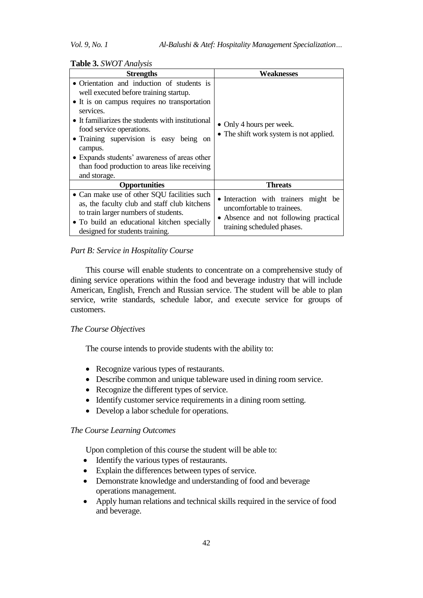## **Table 3.** *SWOT Analysis*

| <b>Strengths</b>                                                                                                                                                                                                                                                                                                                                                                                         | Weaknesses                                                                                                                                |  |
|----------------------------------------------------------------------------------------------------------------------------------------------------------------------------------------------------------------------------------------------------------------------------------------------------------------------------------------------------------------------------------------------------------|-------------------------------------------------------------------------------------------------------------------------------------------|--|
| • Orientation and induction of students is<br>well executed before training startup.<br>• It is on campus requires no transportation<br>services.<br>• It familiarizes the students with institutional<br>food service operations.<br>• Training supervision is easy being on<br>campus.<br>• Expands students' awareness of areas other<br>than food production to areas like receiving<br>and storage. | • Only 4 hours per week.<br>• The shift work system is not applied.                                                                       |  |
| <b>Opportunities</b>                                                                                                                                                                                                                                                                                                                                                                                     | <b>Threats</b>                                                                                                                            |  |
| • Can make use of other SQU facilities such<br>as, the faculty club and staff club kitchens<br>to train larger numbers of students.<br>• To build an educational kitchen specially<br>designed for students training.                                                                                                                                                                                    | • Interaction with trainers might be<br>uncomfortable to trainees.<br>• Absence and not following practical<br>training scheduled phases. |  |

### *Part B: Service in Hospitality Course*

This course will enable students to concentrate on a comprehensive study of dining service operations within the food and beverage industry that will include American, English, French and Russian service. The student will be able to plan service, write standards, schedule labor, and execute service for groups of customers.

#### *The Course Objectives*

The course intends to provide students with the ability to:

- Recognize various types of restaurants.
- Describe common and unique tableware used in dining room service.
- Recognize the different types of service.
- Identify customer service requirements in a dining room setting.
- Develop a labor schedule for operations.

#### *The Course Learning Outcomes*

Upon completion of this course the student will be able to:

- Identify the various types of restaurants.
- Explain the differences between types of service.
- Demonstrate knowledge and understanding of food and beverage operations management.
- Apply human relations and technical skills required in the service of food and beverage.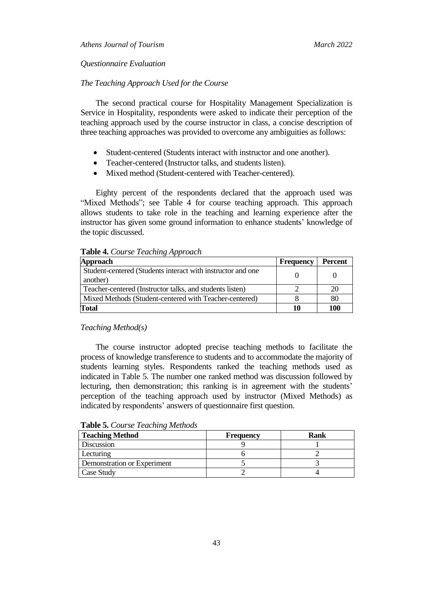## *Questionnaire Evaluation*

### *The Teaching Approach Used for the Course*

The second practical course for Hospitality Management Specialization is Service in Hospitality, respondents were asked to indicate their perception of the teaching approach used by the course instructor in class, a concise description of three teaching approaches was provided to overcome any ambiguities as follows:

- Student-centered (Students interact with instructor and one another).
- Teacher-centered (Instructor talks, and students listen).
- Mixed method (Student-centered with Teacher-centered).

Eighty percent of the respondents declared that the approach used was "Mixed Methods"; see Table 4 for course teaching approach. This approach allows students to take role in the teaching and learning experience after the instructor has given some ground information to enhance students' knowledge of the topic discussed.

|  | Table 4. Course Teaching Approach |
|--|-----------------------------------|
|  |                                   |

| <b>Approach</b>                                                         | Frequency | <b>Percent</b> |
|-------------------------------------------------------------------------|-----------|----------------|
| Student-centered (Students interact with instructor and one<br>another) |           |                |
| Teacher-centered (Instructor talks, and students listen)                |           | 20             |
| Mixed Methods (Student-centered with Teacher-centered)                  |           | 80             |
| Total                                                                   | 10        | 100            |

## *Teaching Method(s)*

The course instructor adopted precise teaching methods to facilitate the process of knowledge transference to students and to accommodate the majority of students learning styles. Respondents ranked the teaching methods used as indicated in Table 5. The number one ranked method was discussion followed by lecturing, then demonstration; this ranking is in agreement with the students' perception of the teaching approach used by instructor (Mixed Methods) as indicated by respondents' answers of questionnaire first question.

| <b>Teaching Method</b>      | <b>Frequency</b> | <b>Rank</b> |
|-----------------------------|------------------|-------------|
| Discussion                  |                  |             |
| Lecturing                   |                  |             |
| Demonstration or Experiment |                  |             |
| Case Study                  |                  |             |

**Table 5.** *Course Teaching Methods*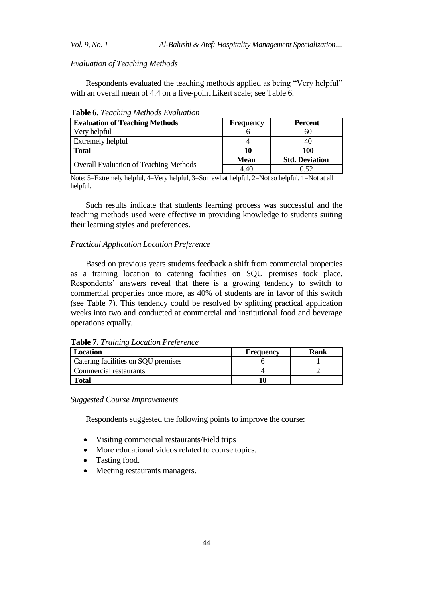*Evaluation of Teaching Methods*

Respondents evaluated the teaching methods applied as being "Very helpful" with an overall mean of 4.4 on a five-point Likert scale; see Table 6.

| <b>Evaluation of Teaching Methods</b>         | <b>Frequency</b> | <b>Percent</b>        |
|-----------------------------------------------|------------------|-----------------------|
| Very helpful                                  |                  |                       |
| <b>Extremely helpful</b>                      |                  |                       |
| <b>Total</b>                                  | 10               | 100                   |
| <b>Overall Evaluation of Teaching Methods</b> | <b>Mean</b>      | <b>Std. Deviation</b> |
|                                               | 4.40             | (152)                 |

**Table 6.** *Teaching Methods Evaluation*

Note: 5=Extremely helpful, 4=Very helpful, 3=Somewhat helpful, 2=Not so helpful, 1=Not at all helpful.

Such results indicate that students learning process was successful and the teaching methods used were effective in providing knowledge to students suiting their learning styles and preferences.

# *Practical Application Location Preference*

Based on previous years students feedback a shift from commercial properties as a training location to catering facilities on SQU premises took place. Respondents' answers reveal that there is a growing tendency to switch to commercial properties once more, as 40% of students are in favor of this switch (see Table 7). This tendency could be resolved by splitting practical application weeks into two and conducted at commercial and institutional food and beverage operations equally.

|  |  |  | Table 7. Training Location Preference |
|--|--|--|---------------------------------------|
|--|--|--|---------------------------------------|

| <b>Location</b>                     | Frequency | Rank |
|-------------------------------------|-----------|------|
| Catering facilities on SQU premises |           |      |
| Commercial restaurants              |           |      |
| <b>Total</b>                        |           |      |

*Suggested Course Improvements*

Respondents suggested the following points to improve the course:

- Visiting commercial restaurants/Field trips
- More educational videos related to course topics.
- Tasting food.
- Meeting restaurants managers.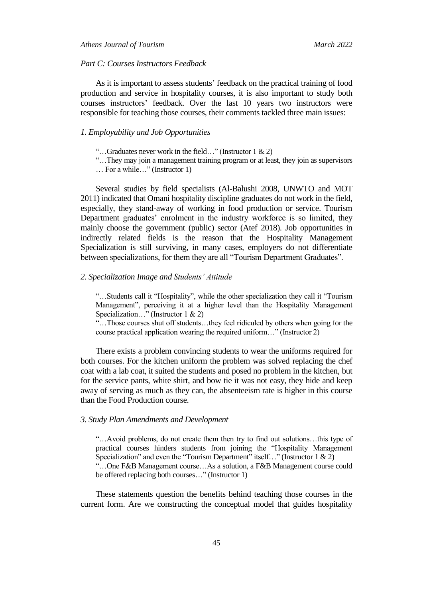#### *Part C: Courses Instructors Feedback*

As it is important to assess students' feedback on the practical training of food production and service in hospitality courses, it is also important to study both courses instructors' feedback. Over the last 10 years two instructors were responsible for teaching those courses, their comments tackled three main issues:

# *1. Employability and Job Opportunities*

"...Graduates never work in the field..." (Instructor 1  $\&$  2)

―…They may join a management training program or at least, they join as supervisors

… For a while…" (Instructor 1)

Several studies by field specialists (Al-Balushi 2008, UNWTO and MOT 2011) indicated that Omani hospitality discipline graduates do not work in the field, especially, they stand-away of working in food production or service. Tourism Department graduates' enrolment in the industry workforce is so limited, they mainly choose the government (public) sector (Atef 2018). Job opportunities in indirectly related fields is the reason that the Hospitality Management Specialization is still surviving, in many cases, employers do not differentiate between specializations, for them they are all "Tourism Department Graduates".

## *2. Specialization Image and Students' Attitude*

"...Students call it "Hospitality", while the other specialization they call it "Tourism Management", perceiving it at a higher level than the Hospitality Management Specialization..." (Instructor 1 & 2)

―…Those courses shut off students…they feel ridiculed by others when going for the course practical application wearing the required uniform..." (Instructor 2)

There exists a problem convincing students to wear the uniforms required for both courses. For the kitchen uniform the problem was solved replacing the chef coat with a lab coat, it suited the students and posed no problem in the kitchen, but for the service pants, white shirt, and bow tie it was not easy, they hide and keep away of serving as much as they can, the absenteeism rate is higher in this course than the Food Production course.

#### *3. Study Plan Amendments and Development*

―…Avoid problems, do not create them then try to find out solutions…this type of practical courses hinders students from joining the "Hospitality Management" Specialization" and even the "Tourism Department" itself..." (Instructor 1 & 2) ―…One F&B Management course…As a solution, a F&B Management course could be offered replacing both courses..." (Instructor 1)

These statements question the benefits behind teaching those courses in the current form. Are we constructing the conceptual model that guides hospitality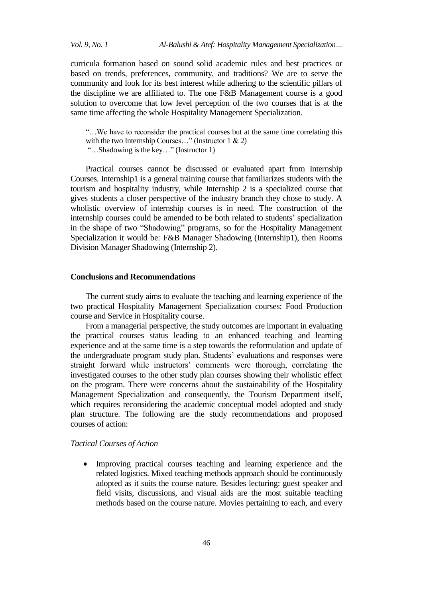curricula formation based on sound solid academic rules and best practices or based on trends, preferences, community, and traditions? We are to serve the community and look for its best interest while adhering to the scientific pillars of the discipline we are affiliated to. The one F&B Management course is a good solution to overcome that low level perception of the two courses that is at the same time affecting the whole Hospitality Management Specialization.

―…We have to reconsider the practical courses but at the same time correlating this with the two Internship Courses..." (Instructor 1  $\&$  2) ―…Shadowing is the key…‖ (Instructor 1)

Practical courses cannot be discussed or evaluated apart from Internship Courses. Internship1 is a general training course that familiarizes students with the tourism and hospitality industry, while Internship 2 is a specialized course that gives students a closer perspective of the industry branch they chose to study. A wholistic overview of internship courses is in need. The construction of the internship courses could be amended to be both related to students' specialization in the shape of two "Shadowing" programs, so for the Hospitality Management Specialization it would be: F&B Manager Shadowing (Internship1), then Rooms Division Manager Shadowing (Internship 2).

## **Conclusions and Recommendations**

The current study aims to evaluate the teaching and learning experience of the two practical Hospitality Management Specialization courses: Food Production course and Service in Hospitality course.

From a managerial perspective, the study outcomes are important in evaluating the practical courses status leading to an enhanced teaching and learning experience and at the same time is a step towards the reformulation and update of the undergraduate program study plan. Students' evaluations and responses were straight forward while instructors' comments were thorough, correlating the investigated courses to the other study plan courses showing their wholistic effect on the program. There were concerns about the sustainability of the Hospitality Management Specialization and consequently, the Tourism Department itself, which requires reconsidering the academic conceptual model adopted and study plan structure. The following are the study recommendations and proposed courses of action:

## *Tactical Courses of Action*

 Improving practical courses teaching and learning experience and the related logistics. Mixed teaching methods approach should be continuously adopted as it suits the course nature. Besides lecturing: guest speaker and field visits, discussions, and visual aids are the most suitable teaching methods based on the course nature. Movies pertaining to each, and every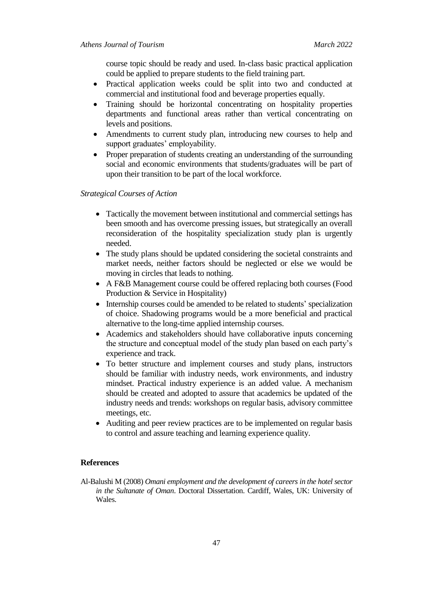course topic should be ready and used. In-class basic practical application could be applied to prepare students to the field training part.

- Practical application weeks could be split into two and conducted at commercial and institutional food and beverage properties equally.
- Training should be horizontal concentrating on hospitality properties departments and functional areas rather than vertical concentrating on levels and positions.
- Amendments to current study plan, introducing new courses to help and support graduates' employability.
- Proper preparation of students creating an understanding of the surrounding social and economic environments that students/graduates will be part of upon their transition to be part of the local workforce.

## *Strategical Courses of Action*

- Tactically the movement between institutional and commercial settings has been smooth and has overcome pressing issues, but strategically an overall reconsideration of the hospitality specialization study plan is urgently needed.
- The study plans should be updated considering the societal constraints and market needs, neither factors should be neglected or else we would be moving in circles that leads to nothing.
- A F&B Management course could be offered replacing both courses (Food Production & Service in Hospitality)
- Internship courses could be amended to be related to students' specialization of choice. Shadowing programs would be a more beneficial and practical alternative to the long-time applied internship courses.
- Academics and stakeholders should have collaborative inputs concerning the structure and conceptual model of the study plan based on each party's experience and track.
- To better structure and implement courses and study plans, instructors should be familiar with industry needs, work environments, and industry mindset. Practical industry experience is an added value. A mechanism should be created and adopted to assure that academics be updated of the industry needs and trends: workshops on regular basis, advisory committee meetings, etc.
- Auditing and peer review practices are to be implemented on regular basis to control and assure teaching and learning experience quality.

# **References**

Al-Balushi M (2008) *Omani employment and the development of careers in the hotel sector in the Sultanate of Oman*. Doctoral Dissertation. Cardiff, Wales, UK: University of Wales.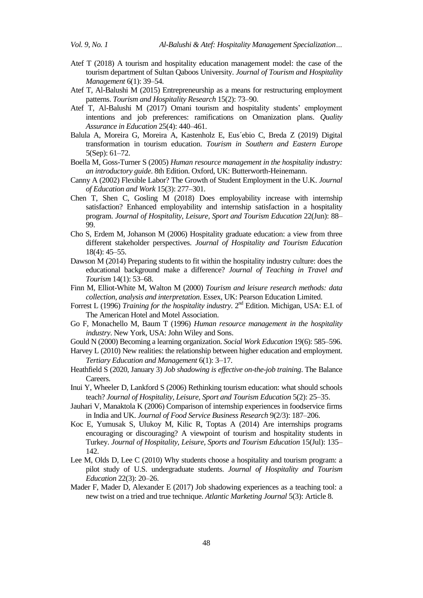- Atef T (2018) A tourism and hospitality education management model: the case of the tourism department of Sultan Qaboos University. *Journal of Tourism and Hospitality Management* 6(1): 39–54.
- Atef T, Al-Balushi M (2015) Entrepreneurship as a means for restructuring employment patterns. *Tourism and Hospitality Research* 15(2): 73–90.
- Atef T, Al-Balushi M (2017) Omani tourism and hospitality students' employment intentions and job preferences: ramifications on Omanization plans. *Quality Assurance in Education* 25(4): 440–461.
- Balula A, Moreira G, Moreira A, Kastenholz E, Eus´ebio C, Breda Z (2019) Digital transformation in tourism education. *Tourism in Southern and Eastern Europe* 5(Sep): 61–72.
- Boella M, Goss-Turner S (2005) *Human resource management in the hospitality industry: an introductory guide*. 8th Edition. Oxford, UK: Butterworth-Heinemann.
- Canny A (2002) Flexible Labor? The Growth of Student Employment in the U.K. *Journal of Education and Work* 15(3): 277–301.
- Chen T, Shen C, Gosling M (2018) Does employability increase with internship satisfaction? Enhanced employability and internship satisfaction in a hospitality program. *Journal of Hospitality, Leisure, Sport and Tourism Education* 22(Jun): 88– 99.
- Cho S, Erdem M, Johanson M (2006) Hospitality graduate education: a view from three different stakeholder perspectives. *Journal of Hospitality and Tourism Education* 18(4): 45–55.
- Dawson M (2014) Preparing students to fit within the hospitality industry culture: does the educational background make a difference? *Journal of Teaching in Travel and Tourism* 14(1): 53–68.
- Finn M, Elliot-White M, Walton M (2000) *Tourism and leisure research methods: data collection, analysis and interpretation*. Essex, UK: Pearson Education Limited.
- Forrest L (1996) *Training for the hospitality industry*. 2<sup>nd</sup> Edition. Michigan, USA: E.I. of The American Hotel and Motel Association.
- Go F, Monachello M, Baum T (1996) *Human resource management in the hospitality industry*. New York, USA: John Wiley and Sons.
- Gould N (2000) Becoming a learning organization. *Social Work Education* 19(6): 585–596.
- Harvey L (2010) New realities: the relationship between higher education and employment. *Tertiary Education and Management* 6(1): 3–17.
- Heathfield S (2020, January 3) *Job shadowing is effective on-the-job training*. The Balance Careers.
- Inui Y, Wheeler D, Lankford S (2006) Rethinking tourism education: what should schools teach? *Journal of Hospitality, Leisure, Sport and Tourism Education* 5(2): 25–35.
- Jauhari V, Manaktola K (2006) Comparison of internship experiences in foodservice firms in India and UK. *Journal of Food Service Business Research* 9(2/3): 187–206.
- Koc E, Yumusak S, Ulukoy M, Kilic R, Toptas A (2014) Are internships programs encouraging or discouraging? A viewpoint of tourism and hospitality students in Turkey. *Journal of Hospitality, Leisure, Sports and Tourism Education* 15(Jul): 135– 142.
- Lee M, Olds D, Lee C (2010) Why students choose a hospitality and tourism program: a pilot study of U.S. undergraduate students. *Journal of Hospitality and Tourism Education* 22(3): 20–26.
- Mader F, Mader D, Alexander E (2017) Job shadowing experiences as a teaching tool: a new twist on a tried and true technique. *Atlantic Marketing Journal* 5(3): Article 8.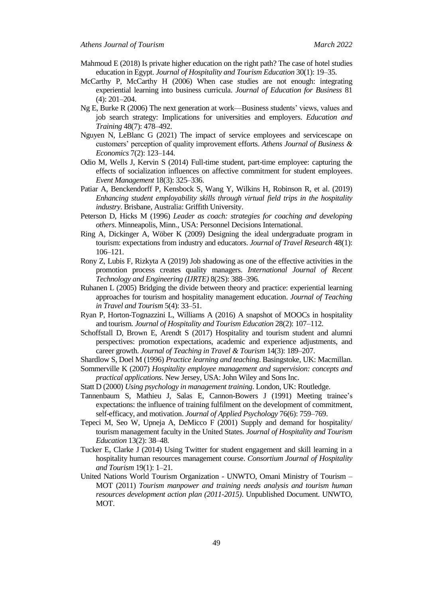- Mahmoud E (2018) Is private higher education on the right path? The case of hotel studies education in Egypt. *Journal of Hospitality and Tourism Education* 30(1): 19–35.
- McCarthy P, McCarthy H (2006) When case studies are not enough: integrating experiential learning into business curricula. *Journal of Education for Business* 81 (4): 201–204.
- Ng E, Burke R (2006) The next generation at work—Business students' views, values and job search strategy: Implications for universities and employers. *Education and Training* 48(7): 478–492.
- Nguyen N, LeBlanc G (2021) The impact of service employees and servicescape on customers' perception of quality improvement efforts. *Athens Journal of Business & Economics* 7(2): 123–144.
- Odio M, Wells J, Kervin S (2014) Full-time student, part-time employee: capturing the effects of socialization influences on affective commitment for student employees. *Event Management* 18(3): 325–336.
- Patiar A, Benckendorff P, Kensbock S, Wang Y, Wilkins H, Robinson R, et al. (2019) *Enhancing student employability skills through virtual field trips in the hospitality industry*. Brisbane, Australia: Griffith University.
- Peterson D, Hicks M (1996) *Leader as coach: strategies for coaching and developing others*. Minneapolis, Minn., USA: Personnel Decisions International.
- Ring A, Dickinger A, Wöber K (2009) Designing the ideal undergraduate program in tourism: expectations from industry and educators. *Journal of Travel Research* 48(1): 106–121.
- Rony Z, Lubis F, Rizkyta A (2019) Job shadowing as one of the effective activities in the promotion process creates quality managers. *International Journal of Recent Technology and Engineering (IJRTE)* 8(2S): 388–396.
- Ruhanen L (2005) Bridging the divide between theory and practice: experiential learning approaches for tourism and hospitality management education. *Journal of Teaching in Travel and Tourism* 5(4): 33–51.
- Ryan P, Horton-Tognazzini L, Williams A (2016) A snapshot of MOOCs in hospitality and tourism. *Journal of Hospitality and Tourism Education* 28(2): 107–112.
- Schoffstall D, Brown E, Arendt S (2017) Hospitality and tourism student and alumni perspectives: promotion expectations, academic and experience adjustments, and career growth. *Journal of Teaching in Travel & Tourism* 14(3): 189–207.
- Shardlow S, Doel M (1996) *Practice learning and teaching*. Basingstoke, UK: Macmillan.
- Sommerville K (2007) *Hospitality employee management and supervision: concepts and practical applications*. New Jersey, USA: John Wiley and Sons Inc.
- Statt D (2000) *Using psychology in management training*. London, UK: Routledge.
- Tannenbaum S, Mathieu J, Salas E, Cannon-Bowers J (1991) Meeting trainee's expectations: the influence of training fulfilment on the development of commitment, self-efficacy, and motivation. *Journal of Applied Psychology* 76(6): 759–769.
- Tepeci M, Seo W, Upneja A, DeMicco F (2001) Supply and demand for hospitality/ tourism management faculty in the United States. *Journal of Hospitality and Tourism Education* 13(2): 38–48.
- Tucker E, Clarke J (2014) Using Twitter for student engagement and skill learning in a hospitality human resources management course. *Consortium Journal of Hospitality and Tourism* 19(1): 1–21.
- United Nations World Tourism Organization UNWTO, Omani Ministry of Tourism MOT (2011) *Tourism manpower and training needs analysis and tourism human resources development action plan (2011-2015)*. Unpublished Document. UNWTO, MOT.